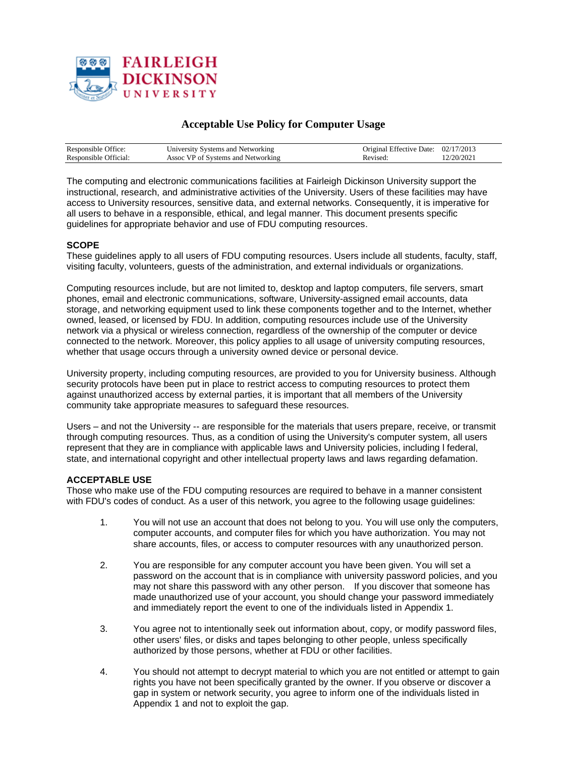

# **Acceptable Use Policy for Computer Usage**

| Responsible Office:   | University Systems and Networking  | Original Effective Date: 02/17/2013 |          |
|-----------------------|------------------------------------|-------------------------------------|----------|
| Responsible Official: | Assoc VP of Systems and Networking | Revised:                            | 2/20/202 |

The computing and electronic communications facilities at Fairleigh Dickinson University support the instructional, research, and administrative activities of the University. Users of these facilities may have access to University resources, sensitive data, and external networks. Consequently, it is imperative for all users to behave in a responsible, ethical, and legal manner. This document presents specific guidelines for appropriate behavior and use of FDU computing resources.

## **SCOPE**

These guidelines apply to all users of FDU computing resources. Users include all students, faculty, staff, visiting faculty, volunteers, guests of the administration, and external individuals or organizations.

Computing resources include, but are not limited to, desktop and laptop computers, file servers, smart phones, email and electronic communications, software, University-assigned email accounts, data storage, and networking equipment used to link these components together and to the Internet, whether owned, leased, or licensed by FDU. In addition, computing resources include use of the University network via a physical or wireless connection, regardless of the ownership of the computer or device connected to the network. Moreover, this policy applies to all usage of university computing resources, whether that usage occurs through a university owned device or personal device.

University property, including computing resources, are provided to you for University business. Although security protocols have been put in place to restrict access to computing resources to protect them against unauthorized access by external parties, it is important that all members of the University community take appropriate measures to safeguard these resources.

Users – and not the University -- are responsible for the materials that users prepare, receive, or transmit through computing resources. Thus, as a condition of using the University's computer system, all users represent that they are in compliance with applicable laws and University policies, including l federal, state, and international copyright and other intellectual property laws and laws regarding defamation.

## **ACCEPTABLE USE**

Those who make use of the FDU computing resources are required to behave in a manner consistent with FDU's codes of conduct. As a user of this network, you agree to the following usage guidelines:

- 1. You will not use an account that does not belong to you. You will use only the computers, computer accounts, and computer files for which you have authorization. You may not share accounts, files, or access to computer resources with any unauthorized person.
- 2. You are responsible for any computer account you have been given. You will set a password on the account that is in compliance with university password policies, and you may not share this password with any other person. If you discover that someone has made unauthorized use of your account, you should change your password immediately and immediately report the event to one of the individuals listed in Appendix 1.
- 3. You agree not to intentionally seek out information about, copy, or modify password files, other users' files, or disks and tapes belonging to other people, unless specifically authorized by those persons, whether at FDU or other facilities.
- 4. You should not attempt to decrypt material to which you are not entitled or attempt to gain rights you have not been specifically granted by the owner. If you observe or discover a gap in system or network security, you agree to inform one of the individuals listed in Appendix 1 and not to exploit the gap.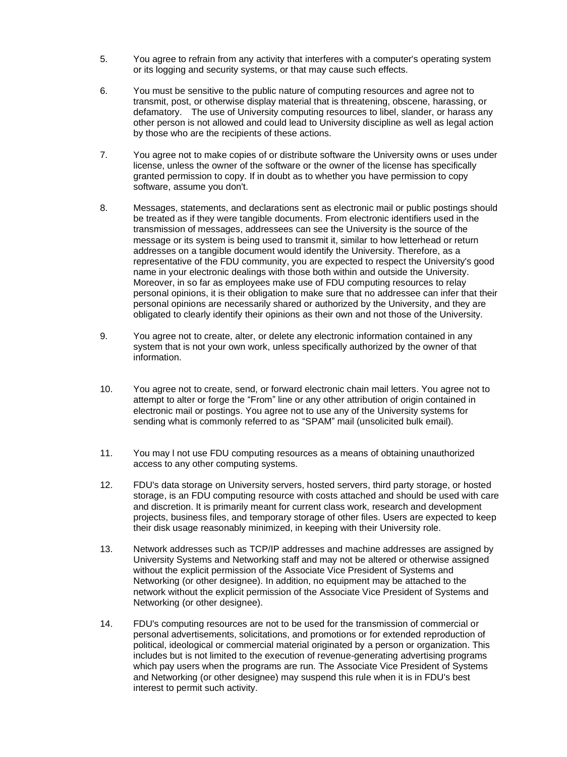- 5. You agree to refrain from any activity that interferes with a computer's operating system or its logging and security systems, or that may cause such effects.
- 6. You must be sensitive to the public nature of computing resources and agree not to transmit, post, or otherwise display material that is threatening, obscene, harassing, or defamatory. The use of University computing resources to libel, slander, or harass any other person is not allowed and could lead to University discipline as well as legal action by those who are the recipients of these actions.
- 7. You agree not to make copies of or distribute software the University owns or uses under license, unless the owner of the software or the owner of the license has specifically granted permission to copy. If in doubt as to whether you have permission to copy software, assume you don't.
- 8. Messages, statements, and declarations sent as electronic mail or public postings should be treated as if they were tangible documents. From electronic identifiers used in the transmission of messages, addressees can see the University is the source of the message or its system is being used to transmit it, similar to how letterhead or return addresses on a tangible document would identify the University. Therefore, as a representative of the FDU community, you are expected to respect the University's good name in your electronic dealings with those both within and outside the University. Moreover, in so far as employees make use of FDU computing resources to relay personal opinions, it is their obligation to make sure that no addressee can infer that their personal opinions are necessarily shared or authorized by the University, and they are obligated to clearly identify their opinions as their own and not those of the University.
- 9. You agree not to create, alter, or delete any electronic information contained in any system that is not your own work, unless specifically authorized by the owner of that information.
- 10. You agree not to create, send, or forward electronic chain mail letters. You agree not to attempt to alter or forge the "From" line or any other attribution of origin contained in electronic mail or postings. You agree not to use any of the University systems for sending what is commonly referred to as "SPAM" mail (unsolicited bulk email).
- 11. You may l not use FDU computing resources as a means of obtaining unauthorized access to any other computing systems.
- 12. FDU's data storage on University servers, hosted servers, third party storage, or hosted storage, is an FDU computing resource with costs attached and should be used with care and discretion. It is primarily meant for current class work, research and development projects, business files, and temporary storage of other files. Users are expected to keep their disk usage reasonably minimized, in keeping with their University role.
- 13. Network addresses such as TCP/IP addresses and machine addresses are assigned by University Systems and Networking staff and may not be altered or otherwise assigned without the explicit permission of the Associate Vice President of Systems and Networking (or other designee). In addition, no equipment may be attached to the network without the explicit permission of the Associate Vice President of Systems and Networking (or other designee).
- 14. FDU's computing resources are not to be used for the transmission of commercial or personal advertisements, solicitations, and promotions or for extended reproduction of political, ideological or commercial material originated by a person or organization. This includes but is not limited to the execution of revenue-generating advertising programs which pay users when the programs are run. The Associate Vice President of Systems and Networking (or other designee) may suspend this rule when it is in FDU's best interest to permit such activity.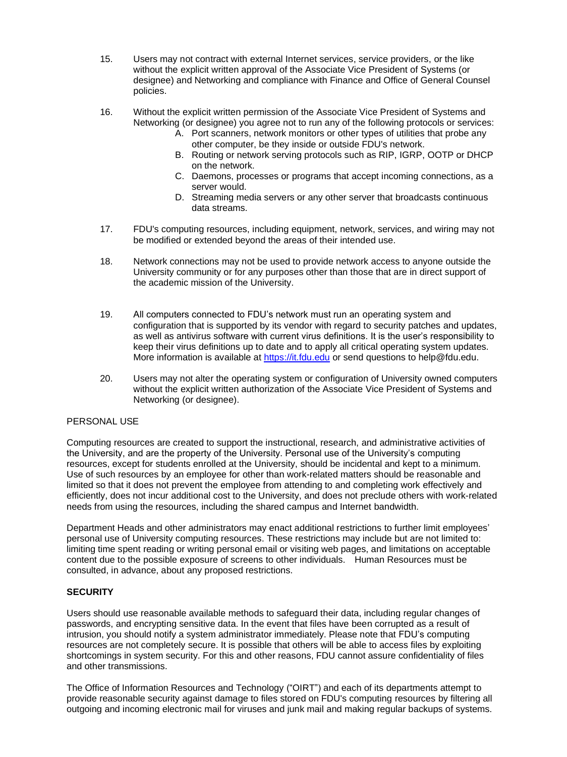- 15. Users may not contract with external Internet services, service providers, or the like without the explicit written approval of the Associate Vice President of Systems (or designee) and Networking and compliance with Finance and Office of General Counsel policies.
- 16. Without the explicit written permission of the Associate Vice President of Systems and Networking (or designee) you agree not to run any of the following protocols or services:
	- A. Port scanners, network monitors or other types of utilities that probe any other computer, be they inside or outside FDU's network.
	- B. Routing or network serving protocols such as RIP, IGRP, OOTP or DHCP on the network.
	- C. Daemons, processes or programs that accept incoming connections, as a server would.
	- D. Streaming media servers or any other server that broadcasts continuous data streams.
- 17. FDU's computing resources, including equipment, network, services, and wiring may not be modified or extended beyond the areas of their intended use.
- 18. Network connections may not be used to provide network access to anyone outside the University community or for any purposes other than those that are in direct support of the academic mission of the University.
- 19. All computers connected to FDU's network must run an operating system and configuration that is supported by its vendor with regard to security patches and updates, as well as antivirus software with current virus definitions. It is the user's responsibility to keep their virus definitions up to date and to apply all critical operating system updates. More information is available at [https://it.fdu.edu](https://it.fdu.edu/) or send questions to help@fdu.edu.
- 20. Users may not alter the operating system or configuration of University owned computers without the explicit written authorization of the Associate Vice President of Systems and Networking (or designee).

## PERSONAL USE

Computing resources are created to support the instructional, research, and administrative activities of the University, and are the property of the University. Personal use of the University's computing resources, except for students enrolled at the University, should be incidental and kept to a minimum. Use of such resources by an employee for other than work-related matters should be reasonable and limited so that it does not prevent the employee from attending to and completing work effectively and efficiently, does not incur additional cost to the University, and does not preclude others with work-related needs from using the resources, including the shared campus and Internet bandwidth.

Department Heads and other administrators may enact additional restrictions to further limit employees' personal use of University computing resources. These restrictions may include but are not limited to: limiting time spent reading or writing personal email or visiting web pages, and limitations on acceptable content due to the possible exposure of screens to other individuals. Human Resources must be consulted, in advance, about any proposed restrictions.

## **SECURITY**

Users should use reasonable available methods to safeguard their data, including regular changes of passwords, and encrypting sensitive data. In the event that files have been corrupted as a result of intrusion, you should notify a system administrator immediately. Please note that FDU's computing resources are not completely secure. It is possible that others will be able to access files by exploiting shortcomings in system security. For this and other reasons, FDU cannot assure confidentiality of files and other transmissions.

The Office of Information Resources and Technology ("OIRT") and each of its departments attempt to provide reasonable security against damage to files stored on FDU's computing resources by filtering all outgoing and incoming electronic mail for viruses and junk mail and making regular backups of systems.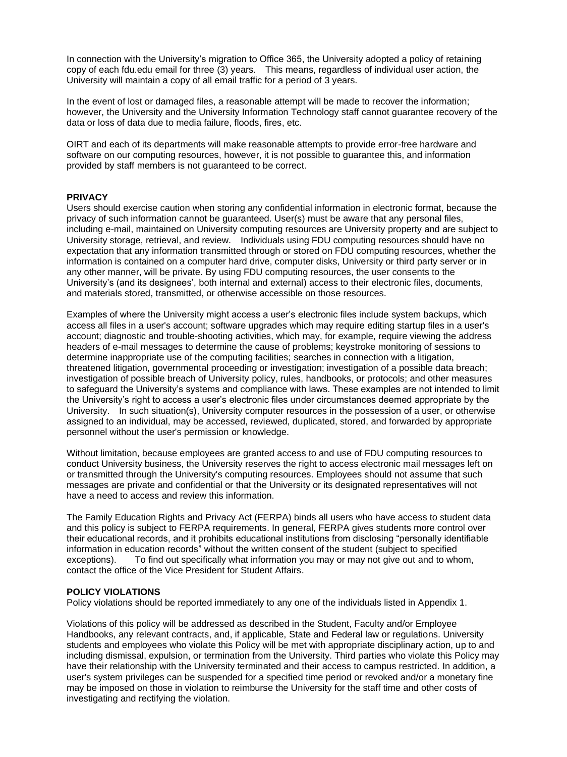In connection with the University's migration to Office 365, the University adopted a policy of retaining copy of each fdu.edu email for three (3) years. This means, regardless of individual user action, the University will maintain a copy of all email traffic for a period of 3 years.

In the event of lost or damaged files, a reasonable attempt will be made to recover the information; however, the University and the University Information Technology staff cannot guarantee recovery of the data or loss of data due to media failure, floods, fires, etc.

OIRT and each of its departments will make reasonable attempts to provide error-free hardware and software on our computing resources, however, it is not possible to guarantee this, and information provided by staff members is not guaranteed to be correct.

#### **PRIVACY**

Users should exercise caution when storing any confidential information in electronic format, because the privacy of such information cannot be guaranteed. User(s) must be aware that any personal files, including e-mail, maintained on University computing resources are University property and are subject to University storage, retrieval, and review. Individuals using FDU computing resources should have no expectation that any information transmitted through or stored on FDU computing resources, whether the information is contained on a computer hard drive, computer disks, University or third party server or in any other manner, will be private. By using FDU computing resources, the user consents to the University's (and its designees', both internal and external) access to their electronic files, documents, and materials stored, transmitted, or otherwise accessible on those resources.

Examples of where the University might access a user's electronic files include system backups, which access all files in a user's account; software upgrades which may require editing startup files in a user's account; diagnostic and trouble-shooting activities, which may, for example, require viewing the address headers of e-mail messages to determine the cause of problems; keystroke monitoring of sessions to determine inappropriate use of the computing facilities; searches in connection with a litigation, threatened litigation, governmental proceeding or investigation; investigation of a possible data breach; investigation of possible breach of University policy, rules, handbooks, or protocols; and other measures to safeguard the University's systems and compliance with laws. These examples are not intended to limit the University's right to access a user's electronic files under circumstances deemed appropriate by the University. In such situation(s), University computer resources in the possession of a user, or otherwise assigned to an individual, may be accessed, reviewed, duplicated, stored, and forwarded by appropriate personnel without the user's permission or knowledge.

Without limitation, because employees are granted access to and use of FDU computing resources to conduct University business, the University reserves the right to access electronic mail messages left on or transmitted through the University's computing resources. Employees should not assume that such messages are private and confidential or that the University or its designated representatives will not have a need to access and review this information.

The Family Education Rights and Privacy Act (FERPA) binds all users who have access to student data and this policy is subject to FERPA requirements. In general, FERPA gives students more control over their educational records, and it prohibits educational institutions from disclosing "personally identifiable information in education records" without the written consent of the student (subject to specified exceptions). To find out specifically what information you may or may not give out and to whom, contact the office of the Vice President for Student Affairs.

#### **POLICY VIOLATIONS**

Policy violations should be reported immediately to any one of the individuals listed in Appendix 1.

Violations of this policy will be addressed as described in the Student, Faculty and/or Employee Handbooks, any relevant contracts, and, if applicable, State and Federal law or regulations. University students and employees who violate this Policy will be met with appropriate disciplinary action, up to and including dismissal, expulsion, or termination from the University. Third parties who violate this Policy may have their relationship with the University terminated and their access to campus restricted. In addition, a user's system privileges can be suspended for a specified time period or revoked and/or a monetary fine may be imposed on those in violation to reimburse the University for the staff time and other costs of investigating and rectifying the violation.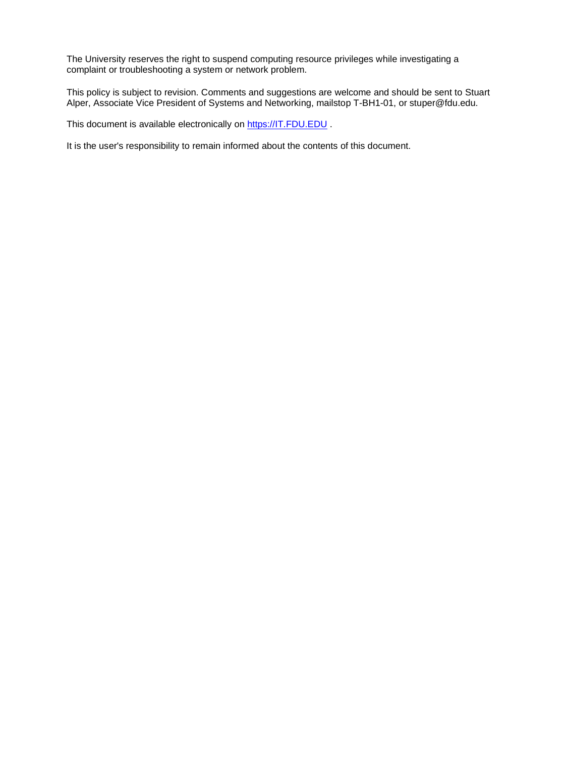The University reserves the right to suspend computing resource privileges while investigating a complaint or troubleshooting a system or network problem.

This policy is subject to revision. Comments and suggestions are welcome and should be sent to Stuart Alper, Associate Vice President of Systems and Networking, mailstop T-BH1-01, or stuper@fdu.edu.

This document is available electronically on [https://IT.FDU.EDU](https://it.fdu.edu/).

It is the user's responsibility to remain informed about the contents of this document.